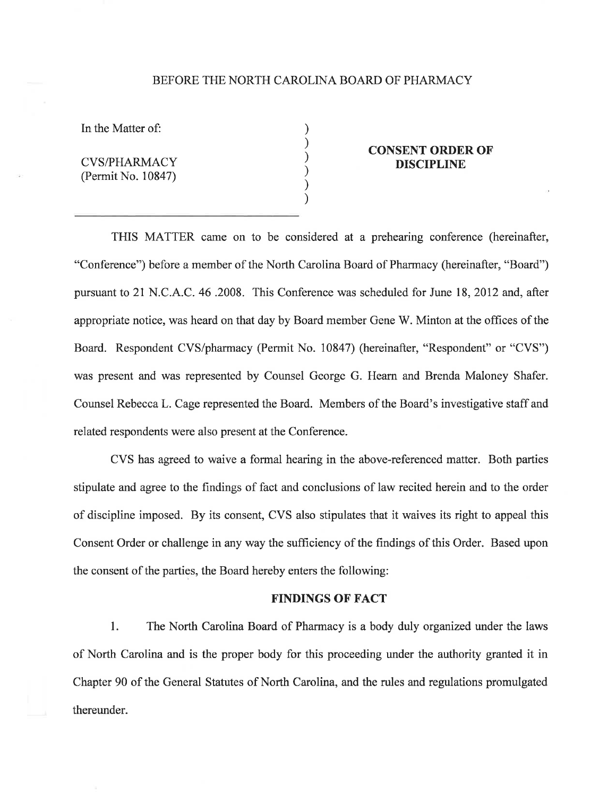## BEFORE THE NORTH CAROLINA BOARD OF PHARMACY

) ) ) ) ) )

In the Matter of:

CVS/PHARMACY (Permit No. 10847)

## CONSENT ORDER OF DISCIPLINE

THIS MATTER came on to be considered at a prehearing conference (hereinafter, "Conference") before a member of the North Carolina Board of Pharmacy (hereinafter, "Board") pursuant to 21 N.C. A.C. 46 .2008. This Conference was scheduled for June 18, 2012 and, after appropriate notice, was heard on that day by Board member Gene W. Minton at the offices of the Board. Respondent CVS/pharmacy (Permit No. 10847) (hereinafter, "Respondent" or "CVS") was present and was represented by Counsel George G. Hearn and Brenda Maloney Shafer. Counsel Rebecca L. Cage represented the Board. Members of the Board's investigative staff and related respondents were also present at the Conference.

CVS has agreed to waive a formal hearing in the above-referenced matter. Both parties stipulate and agree to the findings of fact and conclusions of law recited herein and to the order of discipline imposed. By its consent, CVS also stipulates that it waives its right to appeal this Consent Order or challenge in any way the sufficiency of the findings of this Order. Based upon the consent of the parties, the Board hereby enters the following:

## FINDINGS OF FACT

l. The North Carolina Board of Pharmacy is a body duly organized under the laws of North Carolina and is the proper body for this proceeding under the authority granted it in Chapter 90 of the General Statutes of North Carolina, and the rules and regulations promulgated thereunder.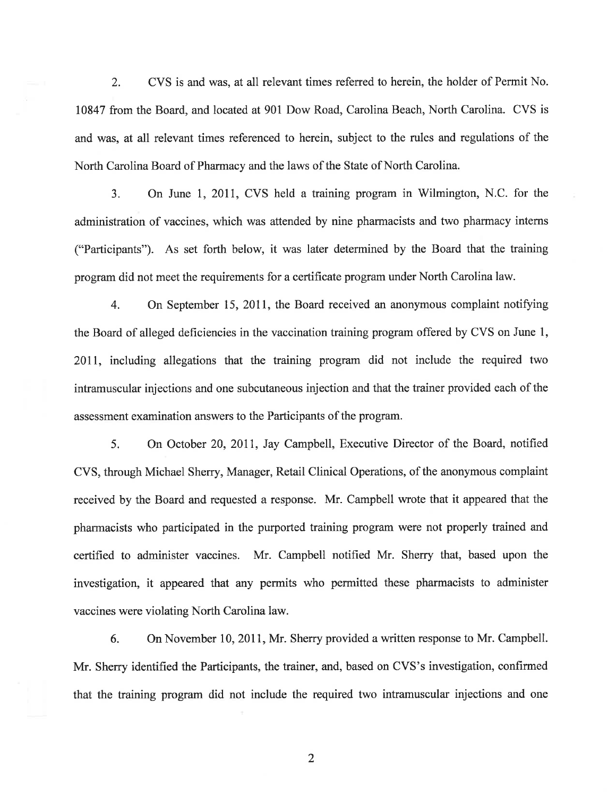2. CVS is and was, at all relevant times referred to herein, the holder of Permit No. 10847 from the Board, and located at 901 Dow Road, Carolina Beach, North Carolina. CVS is and was, at all relevant times referenced to herein, subject to the rules and regulations of the North Carolina Board of Pharmacy and the laws of the State of North Carolina.

3. On June I,2011, CVS held a training program in Wilmington, N.C. for the administration of vaccines, which was attended by nine pharmacists and two pharmacy interns ("Participants"). As set forth below, it was later determined by the Board that the training program did not meet the requirements for a certificate program under North Carolina law.

4. On September 15, 2011, the Board received an anonymous complaint notiffing the Board of alleged deficiencies in the vaccination training program offered by CVS on June l, 2011, including allegations that the training program did not include the required two intramuscular injections and one subcutaneous injection and that the trainer provided each of the assessment examination answers to the Participants of the program.

5. On October 20, 2011, Jay Campbell, Executive Director of the Board, notified CVS, through Michael Sherry, Manager, Retail Clinical Operations, of the anonymous complaint received by the Board and requested a response. Mr. Campbell wrote that it appeared that the pharmacists who participated in the purported training program were not properly trained and certified to administer vaccines. Mr. Campbell notified Mr. Sherry that, based upon the investigation, it appeared that any permits who permitted these pharmacists to administer vaccines were violating North Carolina law.

6. On November 10, 2017, Mr. Sherry provided a written response to Mr. Campbell. Mr. Sherry identified the Participants, the trainer, and, based on CVS's investigation, confirmed that the training program did not include the required two intramuscular injections and one

2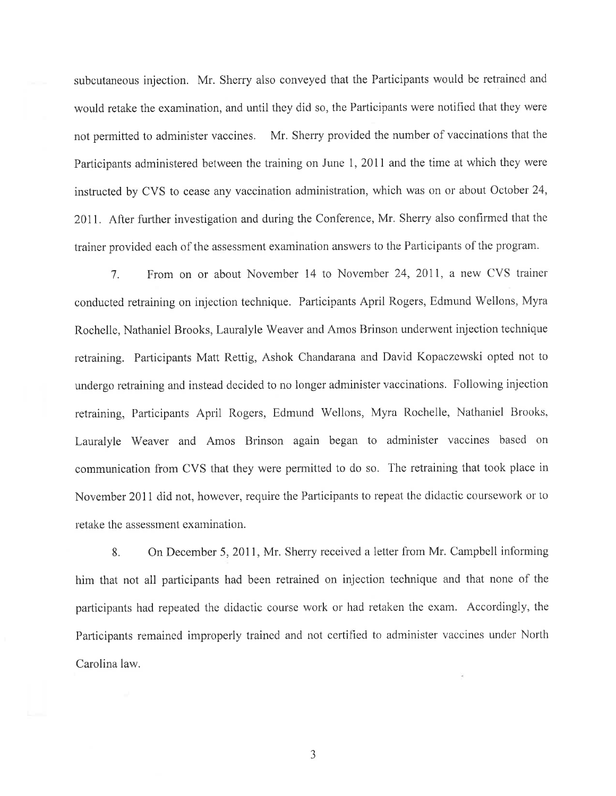subcutaneous injection. Mr. Sherry also conveyed that the Participants would be retrained and would retake the examination, and until they did so, the Participants were notified that they were not permitted to administer vaccines. Mr. Sherry provided the number of vaccinations that the Participants administered between the training on June 1, 2011 and the time at which they were instructed by CVS to cease any vaccination administration, which was on or about October 24, 2011. After further investigation and during the Conference, Mr. Sherry also confirmed that the trainer provided each of the assessment examination answers to the Participants of the program.

7. From on or about November 14 to November 24,2011, a new CVS trainer conducted retraining on injection technique. Participants April Rogers, Edmund Wellons, Myra Rochelle, Nathaniel Brooks, Lauralyle Weaver ancl Amos Brinson underwent injection technique retraining. Participants Matt Rettig, Ashok Chandarana and David Kopaczewski opted not to undergo retraining and instead decided to no longer administer vaccinations. Following injection retraining, Participants April Rogers, Edmund Wellons, Myra Rochelle, Nathaniel Brooks, Lauralyle Weaver and Amos Brinson again began to administer vaccines based on communication from CVS that they were permitted to do so. The retraining that took place in November 2011 did not, however, require the Participants to repeat the didactic coursework or to retake the assessment examination.

8. On December 5, 2011, Mr. Sherry received a letter from Mr. Campbell inlorming him that not all participants had been retrained on injection technique and that none of the participants had repeated the didactic course work or had retaken the exam. Accordingly, the Participants remained improperly trained and not certifìed to administer vaccines under North Carolina law.

J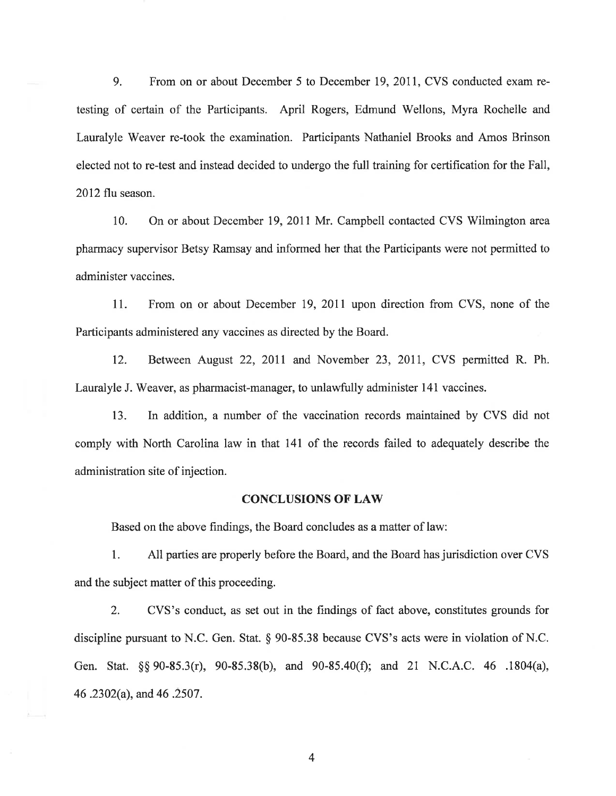9. From on or about December 5 to December 19, 2011, CVS conducted exam retesting of certain of the Participants. April Rogers, Edmund Wellons, Myra Rochelle and Lauralyle Weaver re-took the examination. Participants Nathaniel Brooks and Amos Brinson elected not to re-test and instead decided to undergo the full training for certification for the Fall, 2012 flu season.

10. On or about December 79,2011 Mr. Campbell contacted CVS Wilmington area pharmacy supervisor Betsy Ramsay and informed her that the Participants were not permitted to administer vaccines.

11. From on or about December 19,2011 upon direction from CVS, none of the Participants administered any vaccines as directed by the Board.

12. Between August 22, 2011 and November 23, 2011, CVS permitted R. Ph. Lauralyle J. Weaver, as pharmacist-manager, to unlawfully administer 141 vaccines.

13. In addition, a number of the vaccination records maintained by CVS did not comply with North Carolina law in that l4l of the records failed to adequately describe the administration site of injection.

## CONCLUSIONS OF LAW

Based on the above findings, the Board concludes as a matter of law:

1. All parties are properly before the Board, and the Board has jurisdiction over CVS and the subject matter of this proceeding.

2. CVS's conduct, as set out in the findings of fact above, constitutes grounds for discipline pursuant to N.C. Gen. Stat. § 90-85.38 because CVS's acts were in violation of N.C. Gen. Stat. \$\$ 90-85.3(r), 90-85.38(b), and 90-85.40(Ð; and 2l N.C.A.C. 46 .1804(a), a6 .2302(a), and 46 .2507.

4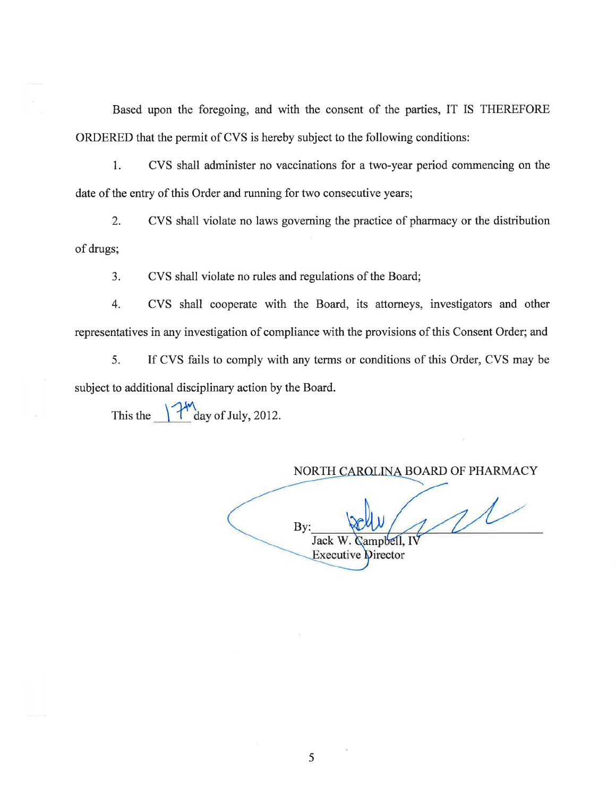Based upon the foregoing, and with the consent of the parties, IT IS THEREFORE ORDERED that the permit of CVS is hereby subject to the following conditions:

1. CVS shall administer no vaccinations for a two-year period commencing on the date of the entry of this Order and running for two consecutive years;

2. CVS shall violate no laws governing the practice of pharmacy or the distribution of drugs;

3. CVS shall violate no rules and regulations of the Board;

4. CVS shall cooperate with the Board, its attorneys, investigators and other representatives in any investigation of compliance with the provisions of this Consent Order; and

5. If CVS fails to comply with any terms or conditions of this Order, CVS may be subject to additional disciplinary action by the Board.

This the  $\int \frac{dx}{dy}$  of July, 2012.

NORTH CAROLINA BOARD OF PHARMACY  $1/$ By: Jack V/. **Campbell**, I **Executive Director** 

5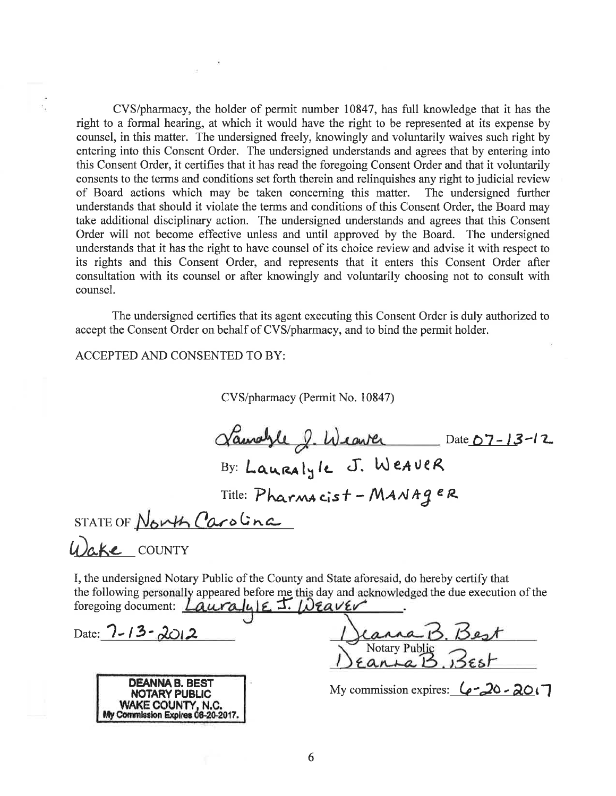CVS/pharmacy, the holder of permit number 10847, has full knowledge that it has the right to a formal hearing, at which it would have the right to be represented at its expense by counsel, in this matter. The undersigned freely, knowingly and voluntarily waives such right by entering into this Consent Order. The undersigned understands and agrees that by entering into this Consent Order, it certifies that it has read the foregoing Consent Order and that it voluntarily consents to the terms and conditions set forth therein and relinquishes any right to judicial review of Board actions which may be taken concerning this matter. The undersigned further understands that should it violate the terms and conditions of this Consent Order, the Board may take additional disciplinary action. The undersigned understands and agrees that this Consent Order will not become effective unless and until approved by the Board. The undersigned understands that it has the right to have counsel of its choice review and advise it with respect to its rights and this Consent Order, and represents that it enters this Consent Order after consultation with its counsel or after knowingly and voluntarily choosing not to consult with counsel.

The undersigned certifies that its agent executing this Consent Order is duly authorized to accept the Consent Order on behalf of CVS/pharmacy, and to bind the permit holder.

**ACCEPTED AND CONSENTED TO BY:** 

CVS/pharmacy (Permit No. 10847)

Laurayle 2. Weaver Date 07-13-12 By: Lauralyle J. WeAVER<br>Title: Pharmacist - MANAger STATE OF North Carolina Wake COUNTY

I, the undersigned Notary Public of the County and State aforesaid, do hereby certify that the following personally appeared before me this day and acknowledged the due execution of the foregoing document:  $Lauralule$  J.  $Nearer$ 

Date:  $7 - 13 - 2012$ 



Notary Public  $\overrightarrow{B}$ 

My commission expires:  $6 - 20 - 20$